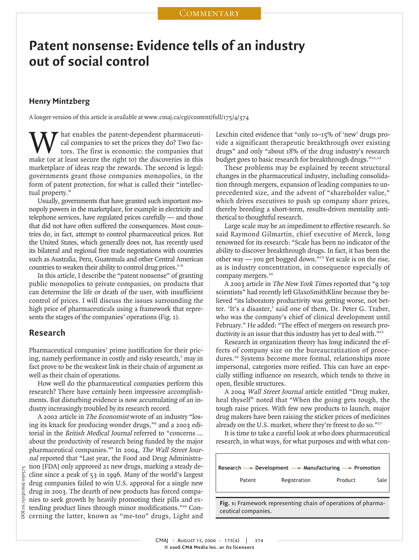## **Patent nonsense: Evidence tells of an industry out of social control**

#### **Henry Mintzberg**

A longer version of this article is available at www.cmaj.ca/cgi/content/full/175/4/374

hat enables the patent-dependent pharmaceutical companies to set the prices they do? Two factors. The first is economic: the companies that make (or at least secure the right to) the discoveries in this marketplace of ideas reap the rewards. The second is legal: governments grant those companies monopolies, in the form of patent protection, for what is called their "intellectual property."

Usually, governments that have granted such important monopoly powers in the marketplace, for example in electricity and telephone services, have regulated prices carefully — and those that did not have often suffered the consequences. Most countries do, in fact, attempt to control pharmaceutical prices. But the United States, which generally does not, has recently used its bilateral and regional free trade negotiations with countries such as Australia, Peru, Guatemala and other Central American countries to weaken their ability to control drug prices.<sup>1-6</sup>

In this article, I describe the "patent nonsense" of granting public monopolies to private companies, on products that can determine the life or death of the user, with insufficient control of prices. I will discuss the issues surrounding the high price of pharmaceuticals using a framework that represents the stages of the companies' operations (Fig. 1).

#### **Research**

Pharmaceutical companies' prime justification for their pricing, namely performance in costly and risky research,<sup>7</sup> may in fact prove to be the weakest link in their chain of argument as well as their chain of operations.

How well do the pharmaceutical companies perform this research? There have certainly been impressive accomplishments. But disturbing evidence is now accumulating of an industry increasingly troubled by its research record.

A 2002 article in The Economist wrote of an industry "losing its knack for producing wonder drugs,"<sup>8</sup> and a 2003 editorial in the British Medical Journal referred to "concerns … about the productivity of research being funded by the major pharmaceutical companies."<sup>9</sup> In 2004, The Wall Street Journal reported that "Last year, the Food and Drug Administration [FDA] only approved 21 new drugs, marking a steady decline since a peak of 53 in 1996. Many of the world's largest drug companies failed to win U.S. approval for a single new drug in 2003. The dearth of new products has forced companies to seek growth by heavily promoting their pills and extending product lines through minor modifications."<sup>10</sup> Concerning the latter, known as "me-too" drugs, Light and Henry Mintzberg<br>
A longer version of this<br>
This calompatic of this<br>
This cance make (or at least sec<br>
marketplace of ideas<br>
governments grant<br>
form of patent protectual property."<br>
Usually, government<br>
nopoly powers in the

Lexchin cited evidence that "only 10–15% of 'new' drugs provide a significant therapeutic breakthrough over existing drugs" and only "about 18% of the drug industry's research budget goes to basic research for breakthrough drugs."<sup>11,12</sup>

These problems may be explained by recent structural changes in the pharmaceutical industry, including consolidation through mergers, expansion of leading companies to unprecedented size, and the advent of "shareholder value," which drives executives to push up company share prices, thereby breeding a short-term, results-driven mentality antithetical to thoughtful research.

Large scale may be an impediment to effective research. So said Raymond Gilmartin, chief executive of Merck, long renowned for its research: "Scale has been no indicator of the ability to discover breakthrough drugs. In fact, it has been the other way — you get bogged down."<sup>13</sup> Yet scale is on the rise, as is industry concentration, in consequence especially of company mergers.<sup>14</sup>

A 2003 article in The New York Times reported that "9 top scientists" had recently left GlaxoSmithKline because they believed "its laboratory productivity was getting worse, not better. 'It's a disaster,' said one of them, Dr. Peter G. Traber, who was the company's chief of clinical development until February." He added: "The effect of mergers on research productivity is an issue that this industry has yet to deal with."<sup>15</sup>

Research in organization theory has long indicated the effects of company size on the bureaucratization of procedures.<sup>16</sup> Systems become more formal, relationships more impersonal, categories more reified. This can have an especially stifling influence on research, which tends to thrive in open, flexible structures.

A 2004 Wall Street Journal article entitled "Drug maker, heal thyself" noted that "When the going gets tough, the tough raise prices. With few new products to launch, major drug makers have been raising the sticker prices of medicines already on the U.S. market, where they're freest to do so."<sup>17</sup>

It is time to take a careful look at who does pharmaceutical research, in what ways, for what purposes and with what con-

| Research $\rightarrow$ Development $\rightarrow$ Manufacturing $\rightarrow$ Promotion |                                                                      |         |      |
|----------------------------------------------------------------------------------------|----------------------------------------------------------------------|---------|------|
| Patent                                                                                 | Registration                                                         | Product | Sale |
|                                                                                        | <b>Fig. 1:</b> Framework representing chain of operations of pharma- |         |      |

**Fig. 1:** Framework representing chain of operations of pharmaceutical companies.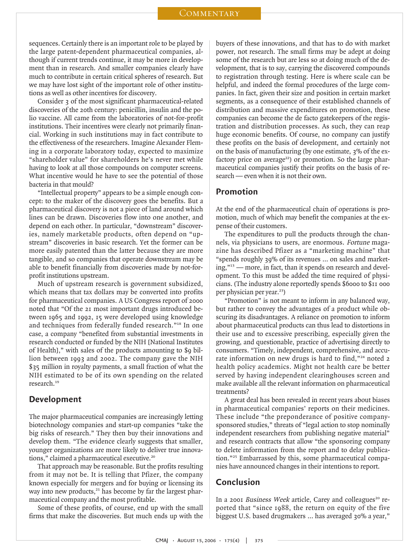sequences. Certainly there is an important role to be played by the large patent-dependent pharmaceutical companies, although if current trends continue, it may be more in development than in research. And smaller companies clearly have much to contribute in certain critical spheres of research. But we may have lost sight of the important role of other institutions as well as other incentives for discovery.

Consider 3 of the most significant pharmaceutical-related discoveries of the 20th century: penicillin, insulin and the polio vaccine. All came from the laboratories of not-for-profit institutions. Their incentives were clearly not primarily financial. Working in such institutions may in fact contribute to the effectiveness of the researchers. Imagine Alexander Fleming in a corporate laboratory today, expected to maximize "shareholder value" for shareholders he's never met while having to look at all those compounds on computer screens. What incentive would he have to see the potential of those bacteria in that mould?

"Intellectual property" appears to be a simple enough concept: to the maker of the discovery goes the benefits. But a pharmaceutical discovery is not a piece of land around which lines can be drawn. Discoveries flow into one another, and depend on each other. In particular, "downstream" discoveries, namely marketable products, often depend on "upstream" discoveries in basic research. Yet the former can be more easily patented than the latter because they are more tangible, and so companies that operate downstream may be able to benefit financially from discoveries made by not-forprofit institutions upstream.

Much of upstream research is government subsidized, which means that tax dollars may be converted into profits for pharmaceutical companies. A US Congress report of 2000 noted that "Of the 21 most important drugs introduced between 1965 and 1992, 15 were developed using knowledge and techniques from federally funded research."<sup>18</sup> In one case, a company "benefited from substantial investments in research conducted or funded by the NIH [National Institutes of Health]," with sales of the products amounting to \$9 billion between 1993 and 2002. The company gave the NIH \$35 million in royalty payments, a small fraction of what the NIH estimated to be of its own spending on the related research.<sup>19</sup>

#### **Development**

The major pharmaceutical companies are increasingly letting biotechnology companies and start-up companies "take the big risks of research." They then buy their innovations and develop them. "The evidence clearly suggests that smaller, younger organizations are more likely to deliver true innovations," claimed a pharmaceutical executive.<sup>20</sup>

That approach may be reasonable. But the profits resulting from it may not be. It is telling that Pfizer, the company known especially for mergers and for buying or licensing its way into new products, $21$  has become by far the largest pharmaceutical company and the most profitable.

Some of these profits, of course, end up with the small firms that make the discoveries. But much ends up with the

buyers of these innovations, and that has to do with market power, not research. The small firms may be adept at doing some of the research but are less so at doing much of the development, that is to say, carrying the discovered compounds to registration through testing. Here is where scale can be helpful, and indeed the formal procedures of the large companies. In fact, given their size and position in certain market segments, as a consequence of their established channels of distribution and massive expenditures on promotion, these companies can become the de facto gatekeepers of the registration and distribution processes. As such, they can reap huge economic benefits. Of course, no company can justify these profits on the basis of development, and certainly not on the basis of manufacturing (by one estimate, 3% of the exfactory price on average<sup>22</sup>) or promotion. So the large pharmaceutical companies justify their profits on the basis of research — even when it is not their own.

#### **Promotion**

At the end of the pharmaceutical chain of operations is promotion, much of which may benefit the companies at the expense of their customers.

The expenditures to pull the products through the channels, via physicians to users, are enormous. Fortune magazine has described Pfizer as a "marketing machine" that "spends roughly 39% of its revenues … on sales and marketing,"<sup>13</sup> — more, in fact, than it spends on research and development. To this must be added the time required of physicians. (The industry alone reportedly spends \$6000 to \$11 000 per physician per year.<sup>23</sup>)

"Promotion" is not meant to inform in any balanced way, but rather to convey the advantages of a product while obscuring its disadvantages. A reliance on promotion to inform about pharmaceutical products can thus lead to distortions in their use and to excessive prescribing, especially given the growing, and questionable, practice of advertising directly to consumers. "Timely, independent, comprehensive, and accurate information on new drugs is hard to find,"<sup>24</sup> noted 2 health policy academics. Might not health care be better served by having independent clearinghouses screen and make available all the relevant information on pharmaceutical treatments?

A great deal has been revealed in recent years about biases in pharmaceutical companies' reports on their medicines. These include "the preponderance of positive companysponsored studies," threats of "legal action to stop nominally independent researchers from publishing negative material" and research contracts that allow "the sponsoring company to delete information from the report and to delay publication."<sup>25</sup> Embarrassed by this, some pharmaceutical companies have announced changes in their intentions to report.

### **Conclusion**

In a 2001 Business Week article, Carey and colleagues<sup>20</sup> reported that "since 1988, the return on equity of the five biggest U.S. based drugmakers … has averaged 30% a year,"